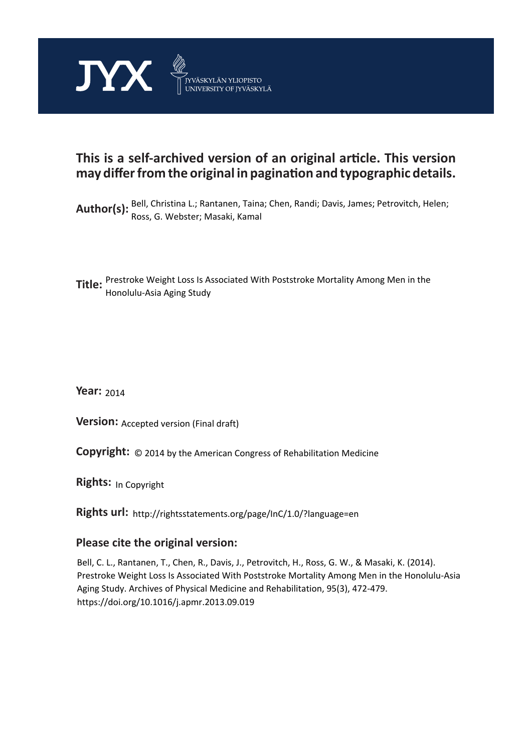

### **This is a self-archived version of an original article. This version may differ from the original in pagination and typographic details.**

Author(s): <sup>Bell,</sup> Christina L.; Rantanen, Taina; Chen, Randi; Davis, James; Petrovitch, Helen; Ross, G. Webster; Masaki, Kamal

**Title:** Prestroke Weight Loss Is Associated With Poststroke Mortality Among Men in the Honolulu-Asia Aging Study

**Year:**  2014

**Version: Accepted version (Final draft)** 

**Version:** Accepted version (Final draft)<br>**Copyright:** © 2014 by the American Congress of Rehabilitation Medicine

**Rights:** In Copyright

**Rights url:**  http://rightsstatements.org/page/InC/1.0/?language=en

#### **Please cite the original version:**

Bell, C. L., Rantanen, T., Chen, R., Davis, J., Petrovitch, H., Ross, G. W., & Masaki, K. (2014). Prestroke Weight Loss Is Associated With Poststroke Mortality Among Men in the Honolulu-Asia Aging Study. Archives of Physical Medicine and Rehabilitation, 95(3), 472-479. https://doi.org/10.1016/j.apmr.2013.09.019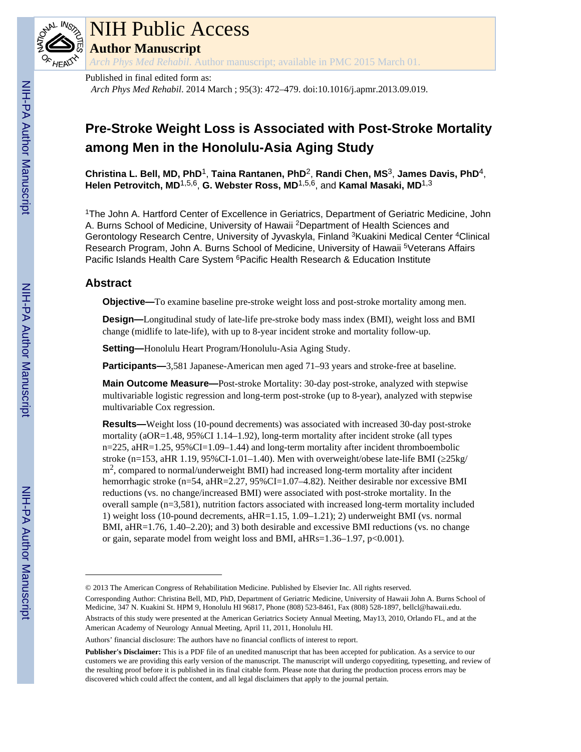

# NIH Public Access

**Author Manuscript**

*Arch Phys Med Rehabil*. Author manuscript; available in PMC 2015 March 01.

Published in final edited form as: *Arch Phys Med Rehabil*. 2014 March ; 95(3): 472–479. doi:10.1016/j.apmr.2013.09.019.

## **Pre-Stroke Weight Loss is Associated with Post-Stroke Mortality among Men in the Honolulu-Asia Aging Study**

**Christina L. Bell, MD, PhD**1, **Taina Rantanen, PhD**2, **Randi Chen, MS**3, **James Davis, PhD**4, **Helen Petrovitch, MD**1,5,6, **G. Webster Ross, MD**1,5,6, and **Kamal Masaki, MD**1,3

<sup>1</sup>The John A. Hartford Center of Excellence in Geriatrics, Department of Geriatric Medicine, John A. Burns School of Medicine, University of Hawaii <sup>2</sup>Department of Health Sciences and Gerontology Research Centre, University of Jyvaskyla, Finland <sup>3</sup>Kuakini Medical Center <sup>4</sup>Clinical Research Program, John A. Burns School of Medicine, University of Hawaii <sup>5</sup>Veterans Affairs Pacific Islands Health Care System <sup>6</sup> Pacific Health Research & Education Institute

#### **Abstract**

**Objective—**To examine baseline pre-stroke weight loss and post-stroke mortality among men.

**Design—**Longitudinal study of late-life pre-stroke body mass index (BMI), weight loss and BMI change (midlife to late-life), with up to 8-year incident stroke and mortality follow-up.

**Setting—**Honolulu Heart Program/Honolulu-Asia Aging Study.

**Participants—**3,581 Japanese-American men aged 71–93 years and stroke-free at baseline.

**Main Outcome Measure—**Post-stroke Mortality: 30-day post-stroke, analyzed with stepwise multivariable logistic regression and long-term post-stroke (up to 8-year), analyzed with stepwise multivariable Cox regression.

**Results—**Weight loss (10-pound decrements) was associated with increased 30-day post-stroke mortality (aOR=1.48, 95%CI 1.14–1.92), long-term mortality after incident stroke (all types n=225, aHR=1.25, 95%CI=1.09–1.44) and long-term mortality after incident thromboembolic stroke (n=153, aHR 1.19, 95%CI-1.01–1.40). Men with overweight/obese late-life BMI ( $25\text{kg}/$  $m<sup>2</sup>$ , compared to normal/underweight BMI) had increased long-term mortality after incident hemorrhagic stroke (n=54, aHR=2.27, 95%CI=1.07–4.82). Neither desirable nor excessive BMI reductions (vs. no change/increased BMI) were associated with post-stroke mortality. In the overall sample (n=3,581), nutrition factors associated with increased long-term mortality included 1) weight loss (10-pound decrements, aHR=1.15, 1.09–1.21); 2) underweight BMI (vs. normal BMI, aHR=1.76, 1.40–2.20); and 3) both desirable and excessive BMI reductions (vs. no change or gain, separate model from weight loss and BMI, aHRs=1.36–1.97, p<0.001).

<sup>© 2013</sup> The American Congress of Rehabilitation Medicine. Published by Elsevier Inc. All rights reserved.

Corresponding Author: Christina Bell, MD, PhD, Department of Geriatric Medicine, University of Hawaii John A. Burns School of Medicine, 347 N. Kuakini St. HPM 9, Honolulu HI 96817, Phone (808) 523-8461, Fax (808) 528-1897, bellcl@hawaii.edu. Abstracts of this study were presented at the American Geriatrics Society Annual Meeting, May13, 2010, Orlando FL, and at the American Academy of Neurology Annual Meeting, April 11, 2011, Honolulu HI.

Authors' financial disclosure: The authors have no financial conflicts of interest to report.

**Publisher's Disclaimer:** This is a PDF file of an unedited manuscript that has been accepted for publication. As a service to our customers we are providing this early version of the manuscript. The manuscript will undergo copyediting, typesetting, and review of the resulting proof before it is published in its final citable form. Please note that during the production process errors may be discovered which could affect the content, and all legal disclaimers that apply to the journal pertain.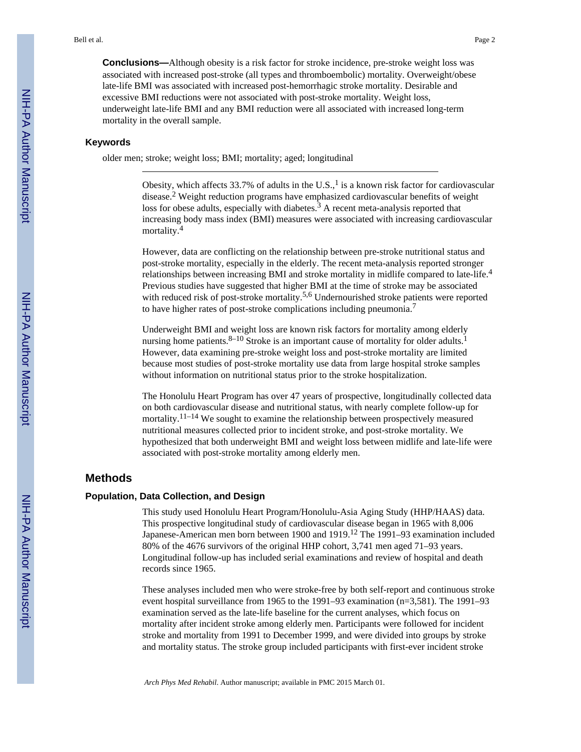**Conclusions—**Although obesity is a risk factor for stroke incidence, pre-stroke weight loss was associated with increased post-stroke (all types and thromboembolic) mortality. Overweight/obese late-life BMI was associated with increased post-hemorrhagic stroke mortality. Desirable and excessive BMI reductions were not associated with post-stroke mortality. Weight loss, underweight late-life BMI and any BMI reduction were all associated with increased long-term mortality in the overall sample.

#### **Keywords**

older men; stroke; weight loss; BMI; mortality; aged; longitudinal

Obesity, which affects 33.7% of adults in the U.S.,  $\frac{1}{1}$  is a known risk factor for cardiovascular disease.<sup>2</sup> Weight reduction programs have emphasized cardiovascular benefits of weight loss for obese adults, especially with diabetes. $3$  A recent meta-analysis reported that increasing body mass index (BMI) measures were associated with increasing cardiovascular mortality.<sup>4</sup>

However, data are conflicting on the relationship between pre-stroke nutritional status and post-stroke mortality, especially in the elderly. The recent meta-analysis reported stronger relationships between increasing BMI and stroke mortality in midlife compared to late-life.<sup>4</sup> Previous studies have suggested that higher BMI at the time of stroke may be associated with reduced risk of post-stroke mortality.<sup>5,6</sup> Undernourished stroke patients were reported to have higher rates of post-stroke complications including pneumonia.<sup>7</sup>

Underweight BMI and weight loss are known risk factors for mortality among elderly nursing home patients.  $8-10$  Stroke is an important cause of mortality for older adults.<sup>1</sup> However, data examining pre-stroke weight loss and post-stroke mortality are limited because most studies of post-stroke mortality use data from large hospital stroke samples without information on nutritional status prior to the stroke hospitalization.

The Honolulu Heart Program has over 47 years of prospective, longitudinally collected data on both cardiovascular disease and nutritional status, with nearly complete follow-up for mortality.<sup>11–14</sup> We sought to examine the relationship between prospectively measured nutritional measures collected prior to incident stroke, and post-stroke mortality. We hypothesized that both underweight BMI and weight loss between midlife and late-life were associated with post-stroke mortality among elderly men.

#### **Methods**

#### **Population, Data Collection, and Design**

This study used Honolulu Heart Program/Honolulu-Asia Aging Study (HHP/HAAS) data. This prospective longitudinal study of cardiovascular disease began in 1965 with 8,006 Japanese-American men born between 1900 and 1919.12 The 1991–93 examination included 80% of the 4676 survivors of the original HHP cohort, 3,741 men aged 71–93 years. Longitudinal follow-up has included serial examinations and review of hospital and death records since 1965.

These analyses included men who were stroke-free by both self-report and continuous stroke event hospital surveillance from 1965 to the 1991–93 examination (n=3,581). The 1991–93 examination served as the late-life baseline for the current analyses, which focus on mortality after incident stroke among elderly men. Participants were followed for incident stroke and mortality from 1991 to December 1999, and were divided into groups by stroke and mortality status. The stroke group included participants with first-ever incident stroke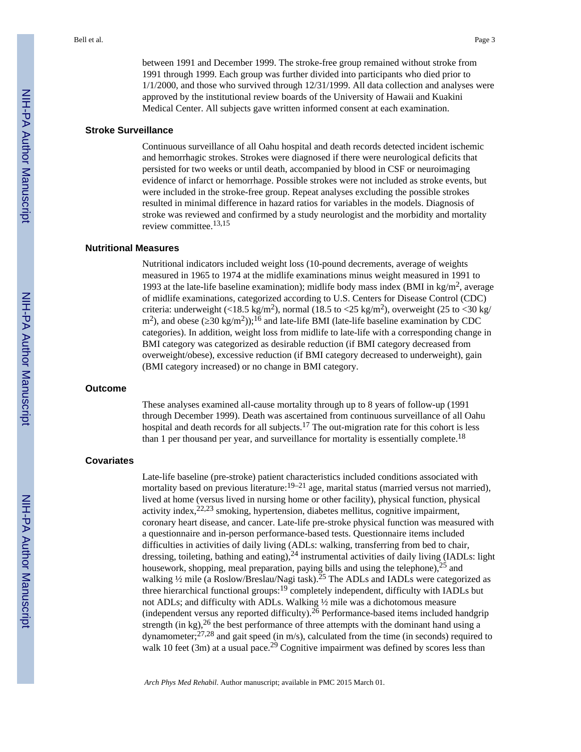between 1991 and December 1999. The stroke-free group remained without stroke from 1991 through 1999. Each group was further divided into participants who died prior to 1/1/2000, and those who survived through 12/31/1999. All data collection and analyses were approved by the institutional review boards of the University of Hawaii and Kuakini Medical Center. All subjects gave written informed consent at each examination.

#### **Stroke Surveillance**

Continuous surveillance of all Oahu hospital and death records detected incident ischemic and hemorrhagic strokes. Strokes were diagnosed if there were neurological deficits that persisted for two weeks or until death, accompanied by blood in CSF or neuroimaging evidence of infarct or hemorrhage. Possible strokes were not included as stroke events, but were included in the stroke-free group. Repeat analyses excluding the possible strokes resulted in minimal difference in hazard ratios for variables in the models. Diagnosis of stroke was reviewed and confirmed by a study neurologist and the morbidity and mortality review committee.13,15

#### **Nutritional Measures**

Nutritional indicators included weight loss (10-pound decrements, average of weights measured in 1965 to 1974 at the midlife examinations minus weight measured in 1991 to 1993 at the late-life baseline examination); midlife body mass index (BMI in kg/m<sup>2</sup>, average of midlife examinations, categorized according to U.S. Centers for Disease Control (CDC) criteria: underweight (<18.5 kg/m<sup>2</sup>), normal (18.5 to <25 kg/m<sup>2</sup>), overweight (25 to <30 kg/ m<sup>2</sup>), and obese ( $30 \text{ kg/m}^2$ ));<sup>16</sup> and late-life BMI (late-life baseline examination by CDC categories). In addition, weight loss from midlife to late-life with a corresponding change in BMI category was categorized as desirable reduction (if BMI category decreased from overweight/obese), excessive reduction (if BMI category decreased to underweight), gain (BMI category increased) or no change in BMI category.

#### **Outcome**

These analyses examined all-cause mortality through up to 8 years of follow-up (1991 through December 1999). Death was ascertained from continuous surveillance of all Oahu hospital and death records for all subjects.<sup>17</sup> The out-migration rate for this cohort is less than 1 per thousand per year, and surveillance for mortality is essentially complete.<sup>18</sup>

#### **Covariates**

Late-life baseline (pre-stroke) patient characteristics included conditions associated with mortality based on previous literature:  $19-21$  age, marital status (married versus not married), lived at home (versus lived in nursing home or other facility), physical function, physical activity index,  $22.23$  smoking, hypertension, diabetes mellitus, cognitive impairment, coronary heart disease, and cancer. Late-life pre-stroke physical function was measured with a questionnaire and in-person performance-based tests. Questionnaire items included difficulties in activities of daily living (ADLs: walking, transferring from bed to chair, dressing, toileting, bathing and eating),<sup>24</sup> instrumental activities of daily living (IADLs: light housework, shopping, meal preparation, paying bills and using the telephone),  $25$  and walking <sup>1</sup>/<sub>2</sub> mile (a Roslow/Breslau/Nagi task).<sup>25</sup> The ADLs and IADLs were categorized as three hierarchical functional groups:19 completely independent, difficulty with IADLs but not ADLs; and difficulty with ADLs. Walking ½ mile was a dichotomous measure (independent versus any reported difficulty).<sup>26</sup> Performance-based items included handgrip strength (in kg),  $^{26}$  the best performance of three attempts with the dominant hand using a dynamometer;27,28 and gait speed (in m/s), calculated from the time (in seconds) required to walk 10 feet (3m) at a usual pace.<sup>29</sup> Cognitive impairment was defined by scores less than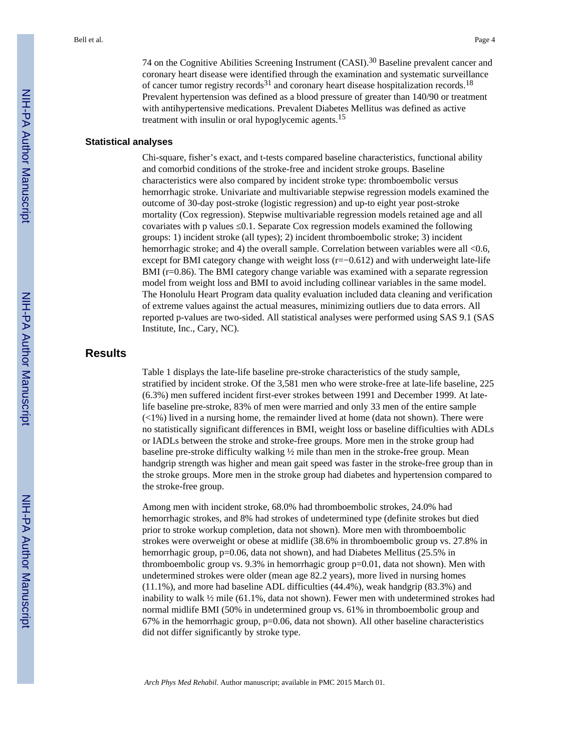74 on the Cognitive Abilities Screening Instrument (CASI).30 Baseline prevalent cancer and coronary heart disease were identified through the examination and systematic surveillance of cancer tumor registry records<sup>31</sup> and coronary heart disease hospitalization records.<sup>18</sup> Prevalent hypertension was defined as a blood pressure of greater than 140/90 or treatment with antihypertensive medications. Prevalent Diabetes Mellitus was defined as active treatment with insulin or oral hypoglycemic agents.<sup>15</sup>

#### **Statistical analyses**

Chi-square, fisher's exact, and t-tests compared baseline characteristics, functional ability and comorbid conditions of the stroke-free and incident stroke groups. Baseline characteristics were also compared by incident stroke type: thromboembolic versus hemorrhagic stroke. Univariate and multivariable stepwise regression models examined the outcome of 30-day post-stroke (logistic regression) and up-to eight year post-stroke mortality (Cox regression). Stepwise multivariable regression models retained age and all covariates with p values ≤0.1. Separate Cox regression models examined the following groups: 1) incident stroke (all types); 2) incident thromboembolic stroke; 3) incident hemorrhagic stroke; and 4) the overall sample. Correlation between variables were all <0.6, except for BMI category change with weight loss (r=−0.612) and with underweight late-life BMI (r=0.86). The BMI category change variable was examined with a separate regression model from weight loss and BMI to avoid including collinear variables in the same model. The Honolulu Heart Program data quality evaluation included data cleaning and verification of extreme values against the actual measures, minimizing outliers due to data errors. All reported p-values are two-sided. All statistical analyses were performed using SAS 9.1 (SAS Institute, Inc., Cary, NC).

#### **Results**

Table 1 displays the late-life baseline pre-stroke characteristics of the study sample, stratified by incident stroke. Of the 3,581 men who were stroke-free at late-life baseline, 225 (6.3%) men suffered incident first-ever strokes between 1991 and December 1999. At latelife baseline pre-stroke, 83% of men were married and only 33 men of the entire sample  $\left(\langle 1\% \right)$  lived in a nursing home, the remainder lived at home (data not shown). There were no statistically significant differences in BMI, weight loss or baseline difficulties with ADLs or IADLs between the stroke and stroke-free groups. More men in the stroke group had baseline pre-stroke difficulty walking ½ mile than men in the stroke-free group. Mean handgrip strength was higher and mean gait speed was faster in the stroke-free group than in the stroke groups. More men in the stroke group had diabetes and hypertension compared to the stroke-free group.

Among men with incident stroke, 68.0% had thromboembolic strokes, 24.0% had hemorrhagic strokes, and 8% had strokes of undetermined type (definite strokes but died prior to stroke workup completion, data not shown). More men with thromboembolic strokes were overweight or obese at midlife (38.6% in thromboembolic group vs. 27.8% in hemorrhagic group, p=0.06, data not shown), and had Diabetes Mellitus (25.5% in thromboembolic group vs. 9.3% in hemorrhagic group p=0.01, data not shown). Men with undetermined strokes were older (mean age 82.2 years), more lived in nursing homes (11.1%), and more had baseline ADL difficulties (44.4%), weak handgrip (83.3%) and inability to walk  $\frac{1}{2}$  mile (61.1%, data not shown). Fewer men with undetermined strokes had normal midlife BMI (50% in undetermined group vs. 61% in thromboembolic group and  $67\%$  in the hemorrhagic group,  $p=0.06$ , data not shown). All other baseline characteristics did not differ significantly by stroke type.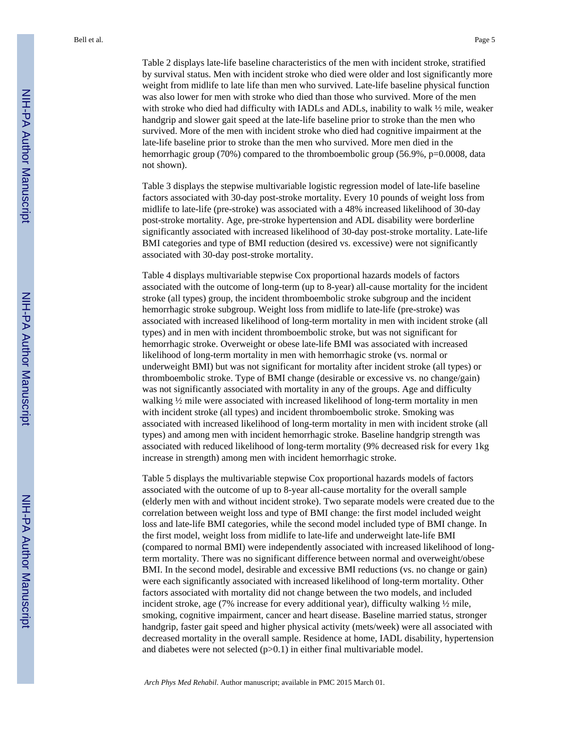Table 2 displays late-life baseline characteristics of the men with incident stroke, stratified by survival status. Men with incident stroke who died were older and lost significantly more weight from midlife to late life than men who survived. Late-life baseline physical function was also lower for men with stroke who died than those who survived. More of the men with stroke who died had difficulty with IADLs and ADLs, inability to walk ½ mile, weaker handgrip and slower gait speed at the late-life baseline prior to stroke than the men who survived. More of the men with incident stroke who died had cognitive impairment at the late-life baseline prior to stroke than the men who survived. More men died in the hemorrhagic group (70%) compared to the thromboembolic group (56.9%, p=0.0008, data not shown).

Table 3 displays the stepwise multivariable logistic regression model of late-life baseline factors associated with 30-day post-stroke mortality. Every 10 pounds of weight loss from midlife to late-life (pre-stroke) was associated with a 48% increased likelihood of 30-day post-stroke mortality. Age, pre-stroke hypertension and ADL disability were borderline significantly associated with increased likelihood of 30-day post-stroke mortality. Late-life BMI categories and type of BMI reduction (desired vs. excessive) were not significantly associated with 30-day post-stroke mortality.

Table 4 displays multivariable stepwise Cox proportional hazards models of factors associated with the outcome of long-term (up to 8-year) all-cause mortality for the incident stroke (all types) group, the incident thromboembolic stroke subgroup and the incident hemorrhagic stroke subgroup. Weight loss from midlife to late-life (pre-stroke) was associated with increased likelihood of long-term mortality in men with incident stroke (all types) and in men with incident thromboembolic stroke, but was not significant for hemorrhagic stroke. Overweight or obese late-life BMI was associated with increased likelihood of long-term mortality in men with hemorrhagic stroke (vs. normal or underweight BMI) but was not significant for mortality after incident stroke (all types) or thromboembolic stroke. Type of BMI change (desirable or excessive vs. no change/gain) was not significantly associated with mortality in any of the groups. Age and difficulty walking ½ mile were associated with increased likelihood of long-term mortality in men with incident stroke (all types) and incident thromboembolic stroke. Smoking was associated with increased likelihood of long-term mortality in men with incident stroke (all types) and among men with incident hemorrhagic stroke. Baseline handgrip strength was associated with reduced likelihood of long-term mortality (9% decreased risk for every 1kg increase in strength) among men with incident hemorrhagic stroke.

Table 5 displays the multivariable stepwise Cox proportional hazards models of factors associated with the outcome of up to 8-year all-cause mortality for the overall sample (elderly men with and without incident stroke). Two separate models were created due to the correlation between weight loss and type of BMI change: the first model included weight loss and late-life BMI categories, while the second model included type of BMI change. In the first model, weight loss from midlife to late-life and underweight late-life BMI (compared to normal BMI) were independently associated with increased likelihood of longterm mortality. There was no significant difference between normal and overweight/obese BMI. In the second model, desirable and excessive BMI reductions (vs. no change or gain) were each significantly associated with increased likelihood of long-term mortality. Other factors associated with mortality did not change between the two models, and included incident stroke, age (7% increase for every additional year), difficulty walking ½ mile, smoking, cognitive impairment, cancer and heart disease. Baseline married status, stronger handgrip, faster gait speed and higher physical activity (mets/week) were all associated with decreased mortality in the overall sample. Residence at home, IADL disability, hypertension and diabetes were not selected  $(p>0.1)$  in either final multivariable model.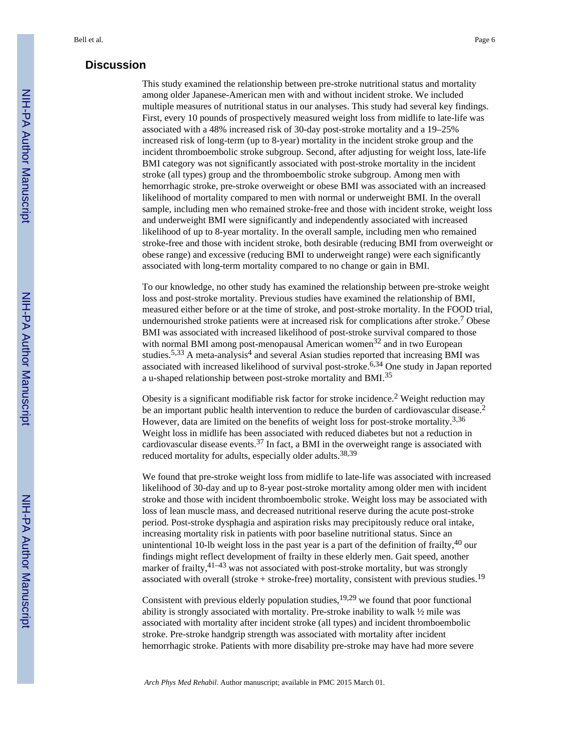#### **Discussion**

This study examined the relationship between pre-stroke nutritional status and mortality among older Japanese-American men with and without incident stroke. We included multiple measures of nutritional status in our analyses. This study had several key findings. First, every 10 pounds of prospectively measured weight loss from midlife to late-life was associated with a 48% increased risk of 30-day post-stroke mortality and a 19–25% increased risk of long-term (up to 8-year) mortality in the incident stroke group and the incident thromboembolic stroke subgroup. Second, after adjusting for weight loss, late-life BMI category was not significantly associated with post-stroke mortality in the incident stroke (all types) group and the thromboembolic stroke subgroup. Among men with hemorrhagic stroke, pre-stroke overweight or obese BMI was associated with an increased likelihood of mortality compared to men with normal or underweight BMI. In the overall sample, including men who remained stroke-free and those with incident stroke, weight loss and underweight BMI were significantly and independently associated with increased likelihood of up to 8-year mortality. In the overall sample, including men who remained stroke-free and those with incident stroke, both desirable (reducing BMI from overweight or obese range) and excessive (reducing BMI to underweight range) were each significantly associated with long-term mortality compared to no change or gain in BMI.

To our knowledge, no other study has examined the relationship between pre-stroke weight loss and post-stroke mortality. Previous studies have examined the relationship of BMI, measured either before or at the time of stroke, and post-stroke mortality. In the FOOD trial, undernourished stroke patients were at increased risk for complications after stroke.<sup>7</sup> Obese BMI was associated with increased likelihood of post-stroke survival compared to those with normal BMI among post-menopausal American women<sup>32</sup> and in two European studies.<sup>5,33</sup> A meta-analysis<sup>4</sup> and several Asian studies reported that increasing BMI was associated with increased likelihood of survival post-stroke.<sup>6,34</sup> One study in Japan reported a u-shaped relationship between post-stroke mortality and BMI.<sup>35</sup>

Obesity is a significant modifiable risk factor for stroke incidence.<sup>2</sup> Weight reduction may be an important public health intervention to reduce the burden of cardiovascular disease.<sup>2</sup> However, data are limited on the benefits of weight loss for post-stroke mortality.<sup>3,36</sup> Weight loss in midlife has been associated with reduced diabetes but not a reduction in cardiovascular disease events.<sup>37</sup> In fact, a BMI in the overweight range is associated with reduced mortality for adults, especially older adults.38,39

We found that pre-stroke weight loss from midlife to late-life was associated with increased likelihood of 30-day and up to 8-year post-stroke mortality among older men with incident stroke and those with incident thromboembolic stroke. Weight loss may be associated with loss of lean muscle mass, and decreased nutritional reserve during the acute post-stroke period. Post-stroke dysphagia and aspiration risks may precipitously reduce oral intake, increasing mortality risk in patients with poor baseline nutritional status. Since an unintentional 10-lb weight loss in the past year is a part of the definition of frailty,<sup>40</sup> our findings might reflect development of frailty in these elderly men. Gait speed, another marker of frailty,  $41-43$  was not associated with post-stroke mortality, but was strongly associated with overall (stroke + stroke-free) mortality, consistent with previous studies.<sup>19</sup>

Consistent with previous elderly population studies,  $19,29$  we found that poor functional ability is strongly associated with mortality. Pre-stroke inability to walk ½ mile was associated with mortality after incident stroke (all types) and incident thromboembolic stroke. Pre-stroke handgrip strength was associated with mortality after incident hemorrhagic stroke. Patients with more disability pre-stroke may have had more severe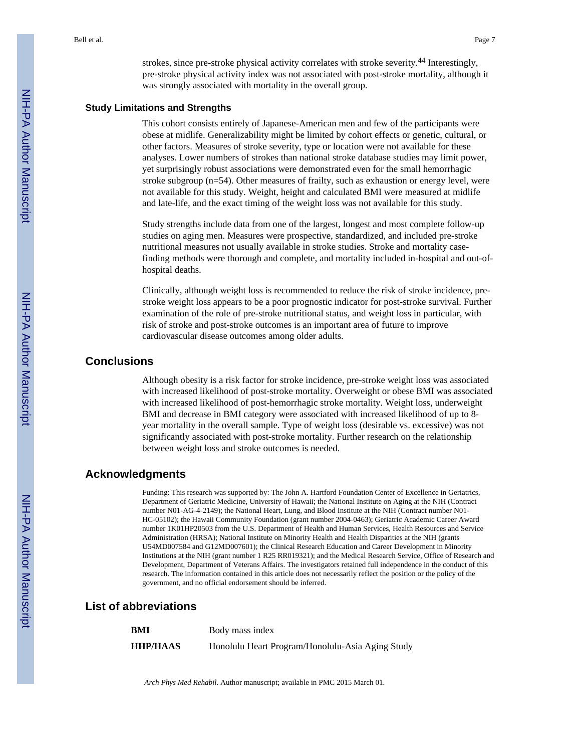strokes, since pre-stroke physical activity correlates with stroke severity.<sup>44</sup> Interestingly, pre-stroke physical activity index was not associated with post-stroke mortality, although it was strongly associated with mortality in the overall group.

#### **Study Limitations and Strengths**

This cohort consists entirely of Japanese-American men and few of the participants were obese at midlife. Generalizability might be limited by cohort effects or genetic, cultural, or other factors. Measures of stroke severity, type or location were not available for these analyses. Lower numbers of strokes than national stroke database studies may limit power, yet surprisingly robust associations were demonstrated even for the small hemorrhagic stroke subgroup (n=54). Other measures of frailty, such as exhaustion or energy level, were not available for this study. Weight, height and calculated BMI were measured at midlife and late-life, and the exact timing of the weight loss was not available for this study.

Study strengths include data from one of the largest, longest and most complete follow-up studies on aging men. Measures were prospective, standardized, and included pre-stroke nutritional measures not usually available in stroke studies. Stroke and mortality casefinding methods were thorough and complete, and mortality included in-hospital and out-ofhospital deaths.

Clinically, although weight loss is recommended to reduce the risk of stroke incidence, prestroke weight loss appears to be a poor prognostic indicator for post-stroke survival. Further examination of the role of pre-stroke nutritional status, and weight loss in particular, with risk of stroke and post-stroke outcomes is an important area of future to improve cardiovascular disease outcomes among older adults.

#### **Conclusions**

Although obesity is a risk factor for stroke incidence, pre-stroke weight loss was associated with increased likelihood of post-stroke mortality. Overweight or obese BMI was associated with increased likelihood of post-hemorrhagic stroke mortality. Weight loss, underweight BMI and decrease in BMI category were associated with increased likelihood of up to 8 year mortality in the overall sample. Type of weight loss (desirable vs. excessive) was not significantly associated with post-stroke mortality. Further research on the relationship between weight loss and stroke outcomes is needed.

#### **Acknowledgments**

Funding: This research was supported by: The John A. Hartford Foundation Center of Excellence in Geriatrics, Department of Geriatric Medicine, University of Hawaii; the National Institute on Aging at the NIH (Contract number N01-AG-4-2149); the National Heart, Lung, and Blood Institute at the NIH (Contract number N01- HC-05102); the Hawaii Community Foundation (grant number 2004-0463); Geriatric Academic Career Award number 1K01HP20503 from the U.S. Department of Health and Human Services, Health Resources and Service Administration (HRSA); National Institute on Minority Health and Health Disparities at the NIH (grants U54MD007584 and G12MD007601); the Clinical Research Education and Career Development in Minority Institutions at the NIH (grant number 1 R25 RR019321); and the Medical Research Service, Office of Research and Development, Department of Veterans Affairs. The investigators retained full independence in the conduct of this research. The information contained in this article does not necessarily reflect the position or the policy of the government, and no official endorsement should be inferred.

#### **List of abbreviations**

| BMI             | Body mass index                                  |
|-----------------|--------------------------------------------------|
| <b>HHP/HAAS</b> | Honolulu Heart Program/Honolulu-Asia Aging Study |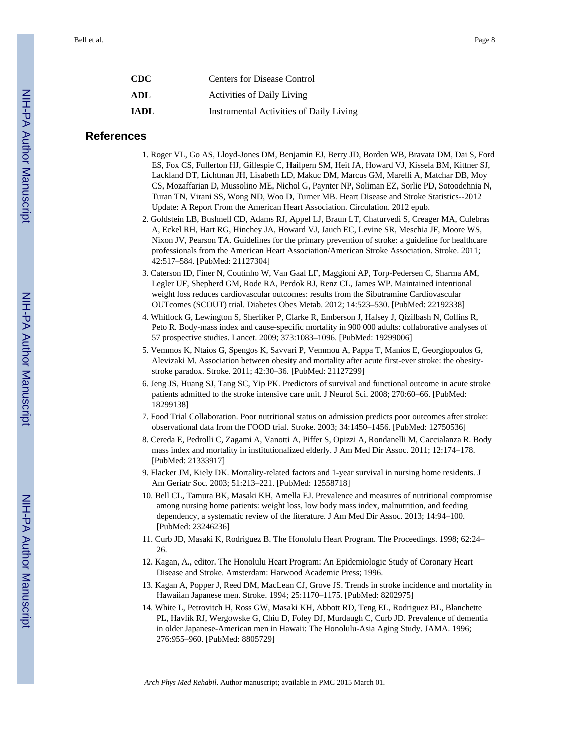| <b>Centers for Disease Control</b>      |
|-----------------------------------------|
| <b>Activities of Daily Living</b>       |
| Instrumental Activities of Daily Living |
|                                         |

#### **References**

- 1. Roger VL, Go AS, Lloyd-Jones DM, Benjamin EJ, Berry JD, Borden WB, Bravata DM, Dai S, Ford ES, Fox CS, Fullerton HJ, Gillespie C, Hailpern SM, Heit JA, Howard VJ, Kissela BM, Kittner SJ, Lackland DT, Lichtman JH, Lisabeth LD, Makuc DM, Marcus GM, Marelli A, Matchar DB, Moy CS, Mozaffarian D, Mussolino ME, Nichol G, Paynter NP, Soliman EZ, Sorlie PD, Sotoodehnia N, Turan TN, Virani SS, Wong ND, Woo D, Turner MB. Heart Disease and Stroke Statistics--2012 Update: A Report From the American Heart Association. Circulation. 2012 epub.
- 2. Goldstein LB, Bushnell CD, Adams RJ, Appel LJ, Braun LT, Chaturvedi S, Creager MA, Culebras A, Eckel RH, Hart RG, Hinchey JA, Howard VJ, Jauch EC, Levine SR, Meschia JF, Moore WS, Nixon JV, Pearson TA. Guidelines for the primary prevention of stroke: a guideline for healthcare professionals from the American Heart Association/American Stroke Association. Stroke. 2011; 42:517–584. [PubMed: 21127304]
- 3. Caterson ID, Finer N, Coutinho W, Van Gaal LF, Maggioni AP, Torp-Pedersen C, Sharma AM, Legler UF, Shepherd GM, Rode RA, Perdok RJ, Renz CL, James WP. Maintained intentional weight loss reduces cardiovascular outcomes: results from the Sibutramine Cardiovascular OUTcomes (SCOUT) trial. Diabetes Obes Metab. 2012; 14:523–530. [PubMed: 22192338]
- 4. Whitlock G, Lewington S, Sherliker P, Clarke R, Emberson J, Halsey J, Qizilbash N, Collins R, Peto R. Body-mass index and cause-specific mortality in 900 000 adults: collaborative analyses of 57 prospective studies. Lancet. 2009; 373:1083–1096. [PubMed: 19299006]
- 5. Vemmos K, Ntaios G, Spengos K, Savvari P, Vemmou A, Pappa T, Manios E, Georgiopoulos G, Alevizaki M. Association between obesity and mortality after acute first-ever stroke: the obesitystroke paradox. Stroke. 2011; 42:30–36. [PubMed: 21127299]
- 6. Jeng JS, Huang SJ, Tang SC, Yip PK. Predictors of survival and functional outcome in acute stroke patients admitted to the stroke intensive care unit. J Neurol Sci. 2008; 270:60–66. [PubMed: 18299138]
- 7. Food Trial Collaboration. Poor nutritional status on admission predicts poor outcomes after stroke: observational data from the FOOD trial. Stroke. 2003; 34:1450–1456. [PubMed: 12750536]
- 8. Cereda E, Pedrolli C, Zagami A, Vanotti A, Piffer S, Opizzi A, Rondanelli M, Caccialanza R. Body mass index and mortality in institutionalized elderly. J Am Med Dir Assoc. 2011; 12:174–178. [PubMed: 21333917]
- 9. Flacker JM, Kiely DK. Mortality-related factors and 1-year survival in nursing home residents. J Am Geriatr Soc. 2003; 51:213–221. [PubMed: 12558718]
- 10. Bell CL, Tamura BK, Masaki KH, Amella EJ. Prevalence and measures of nutritional compromise among nursing home patients: weight loss, low body mass index, malnutrition, and feeding dependency, a systematic review of the literature. J Am Med Dir Assoc. 2013; 14:94–100. [PubMed: 23246236]
- 11. Curb JD, Masaki K, Rodriguez B. The Honolulu Heart Program. The Proceedings. 1998; 62:24– 26.
- 12. Kagan, A., editor. The Honolulu Heart Program: An Epidemiologic Study of Coronary Heart Disease and Stroke. Amsterdam: Harwood Academic Press; 1996.
- 13. Kagan A, Popper J, Reed DM, MacLean CJ, Grove JS. Trends in stroke incidence and mortality in Hawaiian Japanese men. Stroke. 1994; 25:1170–1175. [PubMed: 8202975]
- 14. White L, Petrovitch H, Ross GW, Masaki KH, Abbott RD, Teng EL, Rodriguez BL, Blanchette PL, Havlik RJ, Wergowske G, Chiu D, Foley DJ, Murdaugh C, Curb JD. Prevalence of dementia in older Japanese-American men in Hawaii: The Honolulu-Asia Aging Study. JAMA. 1996; 276:955–960. [PubMed: 8805729]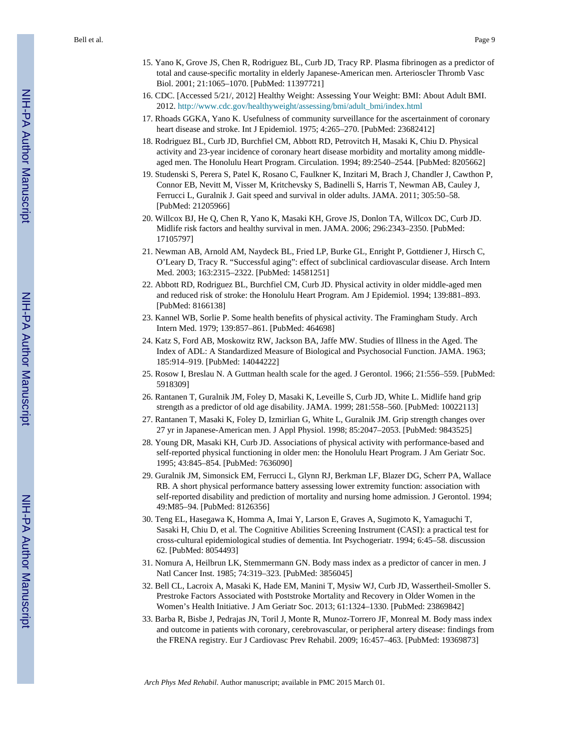Bell et al. Page 9

- 15. Yano K, Grove JS, Chen R, Rodriguez BL, Curb JD, Tracy RP. Plasma fibrinogen as a predictor of total and cause-specific mortality in elderly Japanese-American men. Arterioscler Thromb Vasc Biol. 2001; 21:1065–1070. [PubMed: 11397721]
- 16. CDC. [Accessed 5/21/, 2012] Healthy Weight: Assessing Your Weight: BMI: About Adult BMI. 2012. [http://www.cdc.gov/healthyweight/assessing/bmi/adult\\_bmi/index.html](http://www.cdc.gov/healthyweight/assessing/bmi/adult_bmi/index.html)
- 17. Rhoads GGKA, Yano K. Usefulness of community surveillance for the ascertainment of coronary heart disease and stroke. Int J Epidemiol. 1975; 4:265–270. [PubMed: 23682412]
- 18. Rodriguez BL, Curb JD, Burchfiel CM, Abbott RD, Petrovitch H, Masaki K, Chiu D. Physical activity and 23-year incidence of coronary heart disease morbidity and mortality among middleaged men. The Honolulu Heart Program. Circulation. 1994; 89:2540–2544. [PubMed: 8205662]
- 19. Studenski S, Perera S, Patel K, Rosano C, Faulkner K, Inzitari M, Brach J, Chandler J, Cawthon P, Connor EB, Nevitt M, Visser M, Kritchevsky S, Badinelli S, Harris T, Newman AB, Cauley J, Ferrucci L, Guralnik J. Gait speed and survival in older adults. JAMA. 2011; 305:50–58. [PubMed: 21205966]
- 20. Willcox BJ, He Q, Chen R, Yano K, Masaki KH, Grove JS, Donlon TA, Willcox DC, Curb JD. Midlife risk factors and healthy survival in men. JAMA. 2006; 296:2343–2350. [PubMed: 17105797]
- 21. Newman AB, Arnold AM, Naydeck BL, Fried LP, Burke GL, Enright P, Gottdiener J, Hirsch C, O'Leary D, Tracy R. "Successful aging": effect of subclinical cardiovascular disease. Arch Intern Med. 2003; 163:2315–2322. [PubMed: 14581251]
- 22. Abbott RD, Rodriguez BL, Burchfiel CM, Curb JD. Physical activity in older middle-aged men and reduced risk of stroke: the Honolulu Heart Program. Am J Epidemiol. 1994; 139:881–893. [PubMed: 8166138]
- 23. Kannel WB, Sorlie P. Some health benefits of physical activity. The Framingham Study. Arch Intern Med. 1979; 139:857–861. [PubMed: 464698]
- 24. Katz S, Ford AB, Moskowitz RW, Jackson BA, Jaffe MW. Studies of Illness in the Aged. The Index of ADL: A Standardized Measure of Biological and Psychosocial Function. JAMA. 1963; 185:914–919. [PubMed: 14044222]
- 25. Rosow I, Breslau N. A Guttman health scale for the aged. J Gerontol. 1966; 21:556–559. [PubMed: 5918309]
- 26. Rantanen T, Guralnik JM, Foley D, Masaki K, Leveille S, Curb JD, White L. Midlife hand grip strength as a predictor of old age disability. JAMA. 1999; 281:558–560. [PubMed: 10022113]
- 27. Rantanen T, Masaki K, Foley D, Izmirlian G, White L, Guralnik JM. Grip strength changes over 27 yr in Japanese-American men. J Appl Physiol. 1998; 85:2047–2053. [PubMed: 9843525]
- 28. Young DR, Masaki KH, Curb JD. Associations of physical activity with performance-based and self-reported physical functioning in older men: the Honolulu Heart Program. J Am Geriatr Soc. 1995; 43:845–854. [PubMed: 7636090]
- 29. Guralnik JM, Simonsick EM, Ferrucci L, Glynn RJ, Berkman LF, Blazer DG, Scherr PA, Wallace RB. A short physical performance battery assessing lower extremity function: association with self-reported disability and prediction of mortality and nursing home admission. J Gerontol. 1994; 49:M85–94. [PubMed: 8126356]
- 30. Teng EL, Hasegawa K, Homma A, Imai Y, Larson E, Graves A, Sugimoto K, Yamaguchi T, Sasaki H, Chiu D, et al. The Cognitive Abilities Screening Instrument (CASI): a practical test for cross-cultural epidemiological studies of dementia. Int Psychogeriatr. 1994; 6:45–58. discussion 62. [PubMed: 8054493]
- 31. Nomura A, Heilbrun LK, Stemmermann GN. Body mass index as a predictor of cancer in men. J Natl Cancer Inst. 1985; 74:319–323. [PubMed: 3856045]
- 32. Bell CL, Lacroix A, Masaki K, Hade EM, Manini T, Mysiw WJ, Curb JD, Wassertheil-Smoller S. Prestroke Factors Associated with Poststroke Mortality and Recovery in Older Women in the Women's Health Initiative. J Am Geriatr Soc. 2013; 61:1324–1330. [PubMed: 23869842]
- 33. Barba R, Bisbe J, Pedrajas JN, Toril J, Monte R, Munoz-Torrero JF, Monreal M. Body mass index and outcome in patients with coronary, cerebrovascular, or peripheral artery disease: findings from the FRENA registry. Eur J Cardiovasc Prev Rehabil. 2009; 16:457–463. [PubMed: 19369873]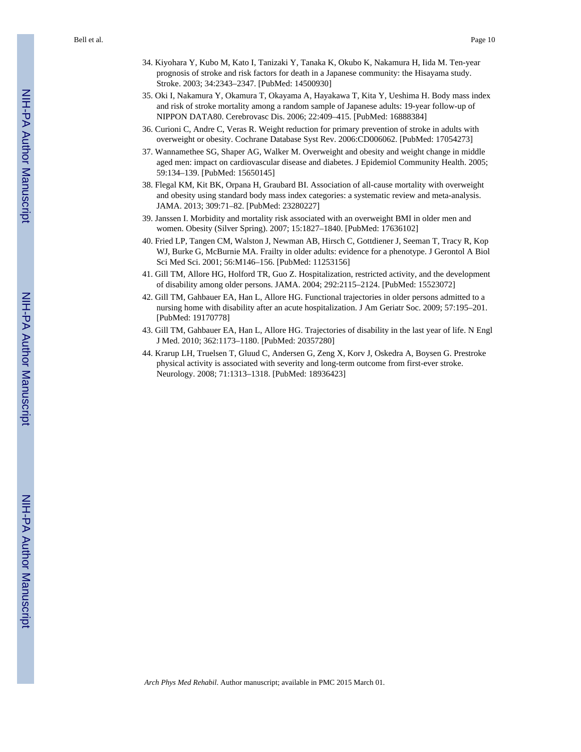Bell et al. Page 10

- 34. Kiyohara Y, Kubo M, Kato I, Tanizaki Y, Tanaka K, Okubo K, Nakamura H, Iida M. Ten-year prognosis of stroke and risk factors for death in a Japanese community: the Hisayama study. Stroke. 2003; 34:2343–2347. [PubMed: 14500930]
- 35. Oki I, Nakamura Y, Okamura T, Okayama A, Hayakawa T, Kita Y, Ueshima H. Body mass index and risk of stroke mortality among a random sample of Japanese adults: 19-year follow-up of NIPPON DATA80. Cerebrovasc Dis. 2006; 22:409–415. [PubMed: 16888384]
- 36. Curioni C, Andre C, Veras R. Weight reduction for primary prevention of stroke in adults with overweight or obesity. Cochrane Database Syst Rev. 2006:CD006062. [PubMed: 17054273]
- 37. Wannamethee SG, Shaper AG, Walker M. Overweight and obesity and weight change in middle aged men: impact on cardiovascular disease and diabetes. J Epidemiol Community Health. 2005; 59:134–139. [PubMed: 15650145]
- 38. Flegal KM, Kit BK, Orpana H, Graubard BI. Association of all-cause mortality with overweight and obesity using standard body mass index categories: a systematic review and meta-analysis. JAMA. 2013; 309:71–82. [PubMed: 23280227]
- 39. Janssen I. Morbidity and mortality risk associated with an overweight BMI in older men and women. Obesity (Silver Spring). 2007; 15:1827–1840. [PubMed: 17636102]
- 40. Fried LP, Tangen CM, Walston J, Newman AB, Hirsch C, Gottdiener J, Seeman T, Tracy R, Kop WJ, Burke G, McBurnie MA. Frailty in older adults: evidence for a phenotype. J Gerontol A Biol Sci Med Sci. 2001; 56:M146–156. [PubMed: 11253156]
- 41. Gill TM, Allore HG, Holford TR, Guo Z. Hospitalization, restricted activity, and the development of disability among older persons. JAMA. 2004; 292:2115–2124. [PubMed: 15523072]
- 42. Gill TM, Gahbauer EA, Han L, Allore HG. Functional trajectories in older persons admitted to a nursing home with disability after an acute hospitalization. J Am Geriatr Soc. 2009; 57:195–201. [PubMed: 19170778]
- 43. Gill TM, Gahbauer EA, Han L, Allore HG. Trajectories of disability in the last year of life. N Engl J Med. 2010; 362:1173–1180. [PubMed: 20357280]
- 44. Krarup LH, Truelsen T, Gluud C, Andersen G, Zeng X, Korv J, Oskedra A, Boysen G. Prestroke physical activity is associated with severity and long-term outcome from first-ever stroke. Neurology. 2008; 71:1313–1318. [PubMed: 18936423]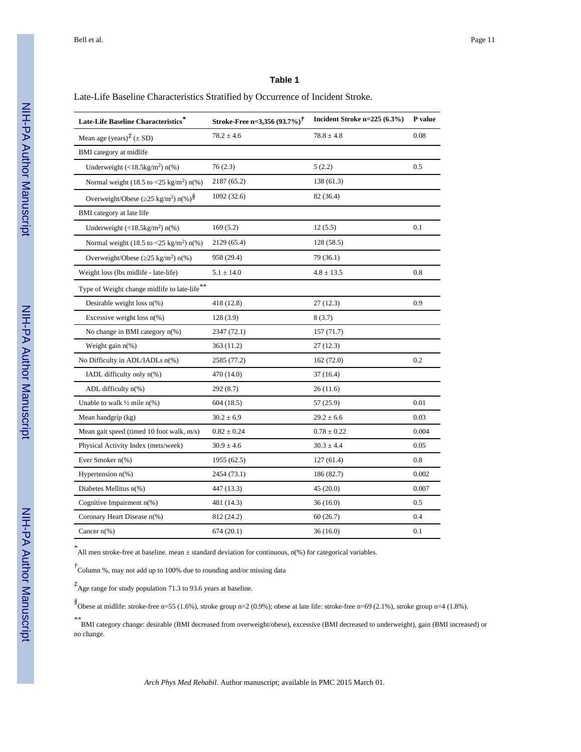#### Late-Life Baseline Characteristics Stratified by Occurrence of Incident Stroke.

| Late-Life Baseline Characteristics*                             | Stroke-Free n=3,356 $(93.7%)^{\dagger}$ | Incident Stroke n=225 (6.3%) | P value |
|-----------------------------------------------------------------|-----------------------------------------|------------------------------|---------|
| Mean age (years) $\vec{f}$ ( $\pm$ SD)                          | $78.2 \pm 4.6$                          | $78.8 \pm 4.8$               | 0.08    |
| BMI category at midlife                                         |                                         |                              |         |
| Underweight $(<18.5 \text{kg/m}^2)$ n(%)                        | 76(2.3)                                 | 5(2.2)                       | 0.5     |
| Normal weight (18.5 to $\langle 25 \text{ kg/m}^2 \rangle$ n(%) | 2187 (65.2)                             | 138 (61.3)                   |         |
| Overweight/Obese (25 kg/m <sup>2</sup> ) n(%) <sup>§</sup>      | 1092 (32.6)                             | 82 (36.4)                    |         |
| BMI category at late life                                       |                                         |                              |         |
| Underweight $(<18.5 \text{kg/m}^2)$ n(%)                        | 169(5.2)                                | 12(5.5)                      | 0.1     |
| Normal weight (18.5 to <25 kg/m <sup>2</sup> ) $n$ (%)          | 2129 (65.4)                             | 128(58.5)                    |         |
| Overweight/Obese ( $25 \text{ kg/m}^2$ ) n(%)                   | 958 (29.4)                              | 79 (36.1)                    |         |
| Weight loss (lbs midlife - late-life)                           | $5.1 \pm 14.0$                          | $4.8 \pm 13.5$               | 0.8     |
| Type of Weight change midlife to late-life**                    |                                         |                              |         |
| Desirable weight loss $n(\%)$                                   | 418 (12.8)                              | 27 (12.3)                    | 0.9     |
| Excessive weight loss $n(\%)$                                   | 128(3.9)                                | 8(3.7)                       |         |
| No change in BMI category $n$ <sup>(%)</sup>                    | 2347 (72.1)                             | 157(71.7)                    |         |
| Weight gain $n\%$ )                                             | 363 (11.2)                              | 27 (12.3)                    |         |
| No Difficulty in ADL/IADLs n(%)                                 | 2585 (77.2)                             | 162(72.0)                    | 0.2     |
| IADL difficulty only $n$ <sup>(%)</sup>                         | 470 (14.0)                              | 37 (16.4)                    |         |
| ADL difficulty $n$ <sup>(%)</sup>                               | 292 (8.7)                               | 26 (11.6)                    |         |
| Unable to walk $\frac{1}{2}$ mile n(%)                          | 604 (18.5)                              | 57 (25.9)                    | 0.01    |
| Mean handgrip (kg)                                              | $30.2 \pm 6.9$                          | $29.2 \pm 6.6$               | 0.03    |
| Mean gait speed (timed 10 foot walk, m/s)                       | $0.82 \pm 0.24$                         | $0.78\pm0.22$                | 0.004   |
| Physical Activity Index (mets/week)                             | $30.9 \pm 4.6$                          | $30.3 \pm 4.4$               | 0.05    |
| Ever Smoker $n$ <sup>(%)</sup>                                  | 1955 (62.5)                             | 127(61.4)                    | 0.8     |
| Hypertension $n$ (%)                                            | 2454 (73.1)                             | 186 (82.7)                   | 0.002   |
| Diabetes Mellitus n(%)                                          | 447 (13.3)                              | 45 (20.0)                    | 0.007   |
| Cognitive Impairment $n$ (%)                                    | 481 (14.3)                              | 36(16.0)                     | 0.5     |
| Coronary Heart Disease n(%)                                     | 812 (24.2)                              | 60(26.7)                     | 0.4     |
| Cancer $n\frac{6}{6}$                                           | 674 (20.1)                              | 36 (16.0)                    | 0.1     |

*\** All men stroke-free at baseline. mean ± standard deviation for continuous, n(%) for categorical variables.

*†* Column %, may not add up to 100% due to rounding and/or missing data

*‡* Age range for study population 71.3 to 93.6 years at baseline.

*§* Obese at midlife: stroke-free n=55 (1.6%), stroke group n=2 (0.9%); obese at late life: stroke-free n=69 (2.1%), stroke group n=4 (1.8%).

*\*\**BMI category change: desirable (BMI decreased from overweight/obese), excessive (BMI decreased to underweight), gain (BMI increased) or no change.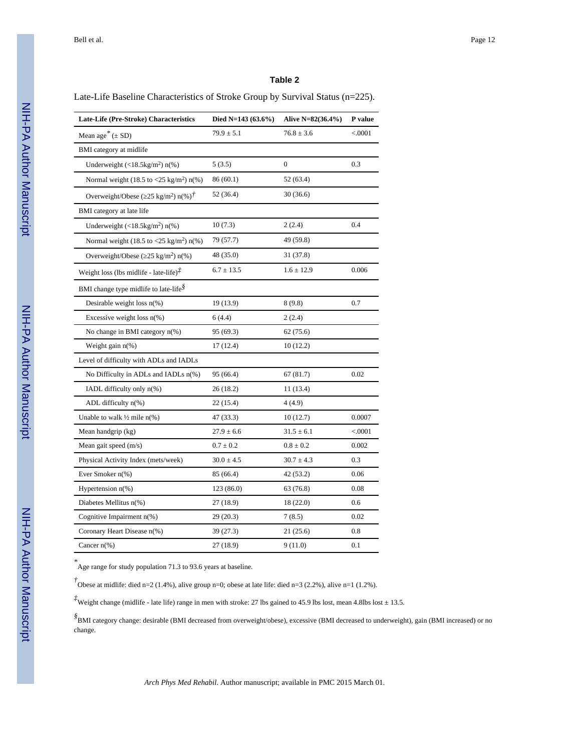Late-Life Baseline Characteristics of Stroke Group by Survival Status (n=225).

| Late-Life (Pre-Stroke) Characteristics                                        | Died N=143 $(63.6\%)$ | Alive N=82(36.4%) | P value  |
|-------------------------------------------------------------------------------|-----------------------|-------------------|----------|
| Mean age <sup>*</sup> $(\pm SD)$                                              | $79.9 \pm 5.1$        | $76.8 \pm 3.6$    | < .0001  |
| BMI category at midlife                                                       |                       |                   |          |
| Underweight $(<18.5 \text{kg/m}^2)$ n(%)                                      | 5(3.5)                | $\mathbf{0}$      | 0.3      |
| Normal weight (18.5 to $\langle 25 \text{ kg/m}^2 \rangle$ n(%)               | 86 (60.1)             | 52 (63.4)         |          |
| Overweight/Obese (25 kg/m <sup>2</sup> ) n(%) <sup><math>\dot{t}</math></sup> | 52 (36.4)             | 30 (36.6)         |          |
| BMI category at late life                                                     |                       |                   |          |
| Underweight $(<18.5 \text{kg/m}^2)$ n(%)                                      | 10(7.3)               | 2(2.4)            | 0.4      |
| Normal weight (18.5 to $\langle 25 \text{ kg/m}^2 \rangle$ n(%)               | 79 (57.7)             | 49 (59.8)         |          |
| Overweight/Obese ( $25 \text{ kg/m}^2$ ) n(%)                                 | 48 (35.0)             | 31 (37.8)         |          |
| Weight loss (lbs midlife - late-life) $\vec{f}$                               | $6.7 \pm 13.5$        | $1.6 \pm 12.9$    | 0.006    |
| BMI change type midlife to late-life <sup>§</sup>                             |                       |                   |          |
| Desirable weight loss $n$ <sup>(%)</sup>                                      | 19 (13.9)             | 8(9.8)            | 0.7      |
| Excessive weight loss $n(\%)$                                                 | 6(4.4)                | 2(2.4)            |          |
| No change in BMI category $n$ <sup>(%)</sup>                                  | 95 (69.3)             | 62(75.6)          |          |
| Weight gain $n$ <sup>(%)</sup>                                                | 17(12.4)              | 10(12.2)          |          |
| Level of difficulty with ADLs and IADLs                                       |                       |                   |          |
| No Difficulty in ADLs and IADLs n(%)                                          | 95 (66.4)             | 67(81.7)          | 0.02     |
| IADL difficulty only n(%)                                                     | 26(18.2)              | 11 (13.4)         |          |
| ADL difficulty $n$ (%)                                                        | 22 (15.4)             | 4(4.9)            |          |
| Unable to walk $\frac{1}{2}$ mile n(%)                                        | 47 (33.3)             | 10(12.7)          | 0.0007   |
| Mean handgrip (kg)                                                            | $27.9 \pm 6.6$        | $31.5 \pm 6.1$    | < 0.0001 |
| Mean gait speed (m/s)                                                         | $0.7 \pm 0.2$         | $0.8 \pm 0.2$     | 0.002    |
| Physical Activity Index (mets/week)                                           | $30.0 \pm 4.5$        | $30.7 \pm 4.3$    | 0.3      |
| Ever Smoker n(%)                                                              | 85 (66.4)             | 42 (53.2)         | 0.06     |
| Hypertension $n$ (%)                                                          | 123 (86.0)            | 63 (76.8)         | 0.08     |
| Diabetes Mellitus n(%)                                                        | 27 (18.9)             | 18 (22.0)         | 0.6      |
| Cognitive Impairment $n$ <sup>(%)</sup>                                       | 29(20.3)              | 7(8.5)            | 0.02     |
| Coronary Heart Disease n(%)                                                   | 39(27.3)              | 21(25.6)          | 0.8      |
| Cancer $n\frac{6}{6}$                                                         | 27 (18.9)             | 9(11.0)           | 0.1      |

*\** Age range for study population 71.3 to 93.6 years at baseline.

*†* Obese at midlife: died n=2 (1.4%), alive group n=0; obese at late life: died n=3 (2.2%), alive n=1 (1.2%).

*‡*Weight change (midlife - late life) range in men with stroke: 27 lbs gained to 45.9 lbs lost, mean 4.8lbs lost  $\pm$  13.5.

*§* BMI category change: desirable (BMI decreased from overweight/obese), excessive (BMI decreased to underweight), gain (BMI increased) or no change.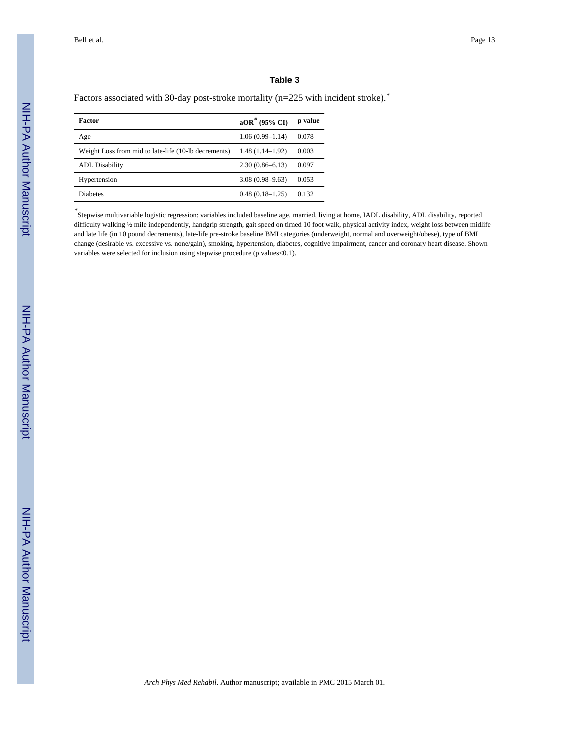Factors associated with 30-day post-stroke mortality (n=225 with incident stroke).*\**

| Factor                                               | $aOR^*$ (95% CI)    | p value |
|------------------------------------------------------|---------------------|---------|
| Age                                                  | $1.06(0.99 - 1.14)$ | 0.078   |
| Weight Loss from mid to late-life (10-lb decrements) | $1.48(1.14-1.92)$   | 0.003   |
| <b>ADL</b> Disability                                | $2.30(0.86 - 6.13)$ | 0.097   |
| Hypertension                                         | $3.08(0.98 - 9.63)$ | 0.053   |
| <b>Diabetes</b>                                      | $0.48(0.18-1.25)$   | 0.132   |

*\** Stepwise multivariable logistic regression: variables included baseline age, married, living at home, IADL disability, ADL disability, reported difficulty walking ½ mile independently, handgrip strength, gait speed on timed 10 foot walk, physical activity index, weight loss between midlife and late life (in 10 pound decrements), late-life pre-stroke baseline BMI categories (underweight, normal and overweight/obese), type of BMI change (desirable vs. excessive vs. none/gain), smoking, hypertension, diabetes, cognitive impairment, cancer and coronary heart disease. Shown variables were selected for inclusion using stepwise procedure (p values 0.1).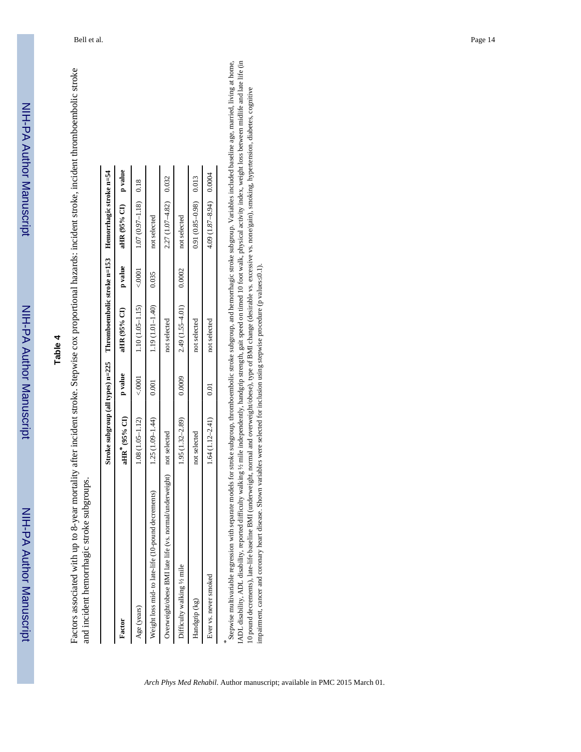NIH-PA Author Manuscript

NIH-PA Author Manuscript

# **Table 4**

Factors associated with up to 8-year mortality after incident stroke. Stepwise cox proportional hazards: incident stroke, incident thromboembolic stroke Factors associated with up to 8-year mortality after incident stroke. Stepwise cox proportional hazards: incident stroke, incident thromboembolic stroke and incident hemorrhagic stroke subgroups. and incident hemorrhagic stroke subgroups.

|                                                                      | Stroke subgroup (all types) $n=225$ Thromboembolic stroke $n=153$ Hemorrhagic stroke $n=54$ |        |                                                  |                            |  |
|----------------------------------------------------------------------|---------------------------------------------------------------------------------------------|--------|--------------------------------------------------|----------------------------|--|
| Factor                                                               | aHR" (95% CI) p value                                                                       |        | aHR $(95%$ CI) p value                           | aHR (95% CI) p value       |  |
| Age (years)                                                          | $1.08(1.05 - 1.12)$                                                                         | < 0001 | $1.10(1.05-1.15)$ < 0.001 $1.07(0.97-1.18)$ 0.18 |                            |  |
| Weight loss mid- to late-life (10-pound decrements)                  | $1.25(1.09-1.44)$                                                                           | 0.001  | $1.19(1.01-1.40)$ 0.035                          | not selected               |  |
| Overweight/obese BMI late life (vs. normal/underweight) not selected |                                                                                             |        | not selected                                     | $2.27(1.07 - 4.82)$ 0.032  |  |
| Difficulty walking 1/2 mile                                          | $1.95(1.32 - 2.89)$                                                                         | 0.0009 | $2.49(1.55-4.01)$ 0.0002                         | not selected               |  |
| Handgrip (kg)                                                        | not selected                                                                                |        | not selected                                     | $0.91(0.85-0.98)$ 0.013    |  |
| Ever vs. never smoked                                                | $1.64(1.12 - 2.41)$                                                                         | 0.01   | not selected                                     | $4.09(1.87 - 8.94)$ 0.0004 |  |
|                                                                      |                                                                                             |        |                                                  |                            |  |

IADL disability, ADL disability, reported difficulty walking 1/3 mile independently, handgrip strength, gait speed on timed 10 foot walk, physical activity index, weight loss between midlife and late life (in \* eepwise multivariable regression with separate models for stroke subgroup, thromboembolic stroke subgroup, and hemorrhagic stroke subgroup. Variables included baseline age, married, living at home, IADL disability, ADL disability, reported difficulty walking ½ mile independently, handgrip strength, gait speed on timed 10 foot walk, physical activity index, weight loss between midlife and late life (in Stepwise multivariable regression with separate models for stroke subgroup, thromboembolic stroke subgroup, and hemorrhagic stroke subgroup. Variables included baseline age, married, living at home, 10 pound decrements), late-life baseline BMI (underweight, normal and overweight/obese), type of BMI change (desirable vs. excessive vs. none/gain), smoking, hypertension, diabetes, cognitive 10 pound decrements), late-life baseline BMI (underweight, normal and overweight/obese), type of BMI change (desirable vs. excessive vs. none/gain), smoking, hypertension, diabetes, cognitive impairment, cancer and coronary heart disease. Shown variables were selected for inclusion using stepwise procedure (p values 0.1). impairment, cancer and coronary heart disease. Shown variables were selected for inclusion using stepwise procedure (p values≤0.1).